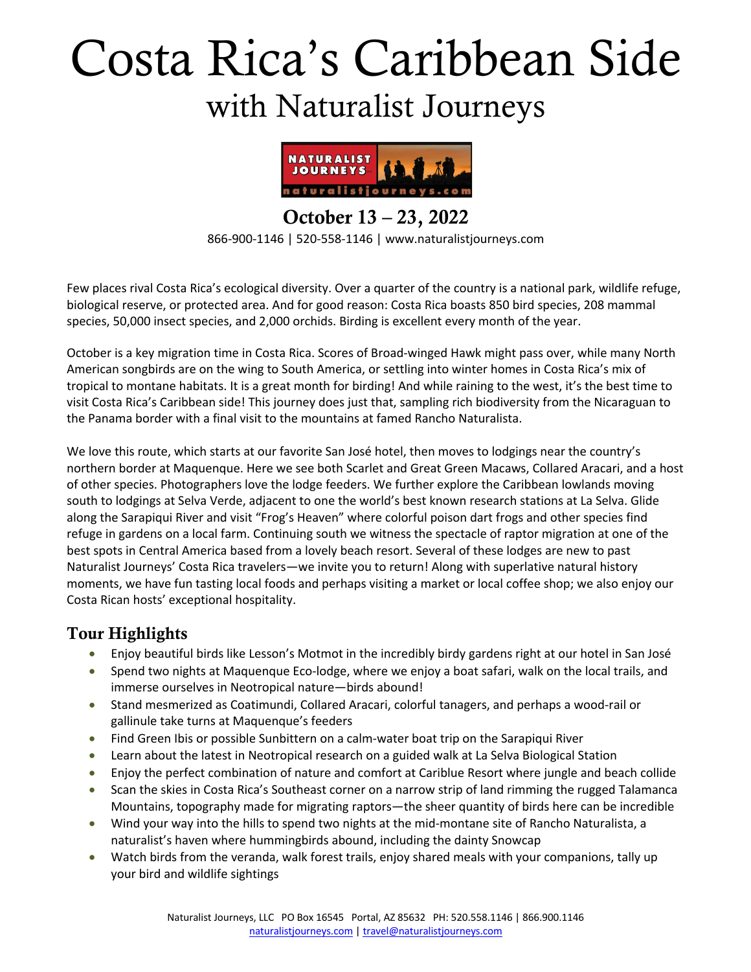# Costa Rica's Caribbean Side with Naturalist Journeys



October 13 – 23, 2022 866-900-1146 | 520-558-1146 | www.naturalistjourneys.com

Few places rival Costa Rica's ecological diversity. Over a quarter of the country is a national park, wildlife refuge, biological reserve, or protected area. And for good reason: Costa Rica boasts 850 bird species, 208 mammal species, 50,000 insect species, and 2,000 orchids. Birding is excellent every month of the year.

October is a key migration time in Costa Rica. Scores of Broad-winged Hawk might pass over, while many North American songbirds are on the wing to South America, or settling into winter homes in Costa Rica's mix of tropical to montane habitats. It is a great month for birding! And while raining to the west, it's the best time to visit Costa Rica's Caribbean side! This journey does just that, sampling rich biodiversity from the Nicaraguan to the Panama border with a final visit to the mountains at famed Rancho Naturalista.

We love this route, which starts at our favorite San José hotel, then moves to lodgings near the country's northern border at Maquenque. Here we see both Scarlet and Great Green Macaws, Collared Aracari, and a host of other species. Photographers love the lodge feeders. We further explore the Caribbean lowlands moving south to lodgings at Selva Verde, adjacent to one the world's best known research stations at La Selva. Glide along the Sarapiqui River and visit "Frog's Heaven" where colorful poison dart frogs and other species find refuge in gardens on a local farm. Continuing south we witness the spectacle of raptor migration at one of the best spots in Central America based from a lovely beach resort. Several of these lodges are new to past Naturalist Journeys' Costa Rica travelers—we invite you to return! Along with superlative natural history moments, we have fun tasting local foods and perhaps visiting a market or local coffee shop; we also enjoy our Costa Rican hosts' exceptional hospitality.

#### Tour Highlights

- Enjoy beautiful birds like Lesson's Motmot in the incredibly birdy gardens right at our hotel in San José
- Spend two nights at Maquenque Eco-lodge, where we enjoy a boat safari, walk on the local trails, and immerse ourselves in Neotropical nature―birds abound!
- Stand mesmerized as Coatimundi, Collared Aracari, colorful tanagers, and perhaps a wood-rail or gallinule take turns at Maquenque's feeders
- Find Green Ibis or possible Sunbittern on a calm-water boat trip on the Sarapiqui River
- Learn about the latest in Neotropical research on a guided walk at La Selva Biological Station
- Enjoy the perfect combination of nature and comfort at Cariblue Resort where jungle and beach collide
- Scan the skies in Costa Rica's Southeast corner on a narrow strip of land rimming the rugged Talamanca Mountains, topography made for migrating raptors―the sheer quantity of birds here can be incredible
- Wind your way into the hills to spend two nights at the mid-montane site of Rancho Naturalista, a naturalist's haven where hummingbirds abound, including the dainty Snowcap
- Watch birds from the veranda, walk forest trails, enjoy shared meals with your companions, tally up your bird and wildlife sightings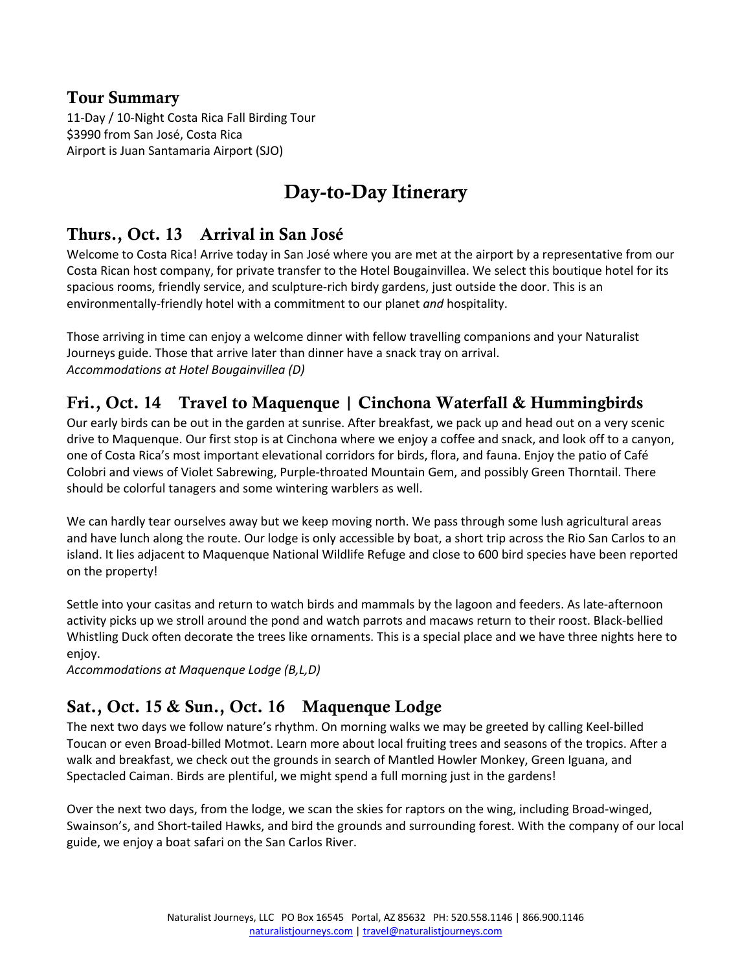#### Tour Summary

11-Day / 10-Night Costa Rica Fall Birding Tour \$3990 from San José, Costa Rica Airport is Juan Santamaria Airport (SJO)

# Day-to-Day Itinerary

#### Thurs., Oct. 13 Arrival in San José

Welcome to Costa Rica! Arrive today in San José where you are met at the airport by a representative from our Costa Rican host company, for private transfer to the Hotel Bougainvillea. We select this boutique hotel for its spacious rooms, friendly service, and sculpture-rich birdy gardens, just outside the door. This is an environmentally-friendly hotel with a commitment to our planet *and* hospitality.

Those arriving in time can enjoy a welcome dinner with fellow travelling companions and your Naturalist Journeys guide. Those that arrive later than dinner have a snack tray on arrival. *Accommodations at Hotel Bougainvillea (D)*

#### Fri., Oct. 14 Travel to Maquenque | Cinchona Waterfall & Hummingbirds

Our early birds can be out in the garden at sunrise. After breakfast, we pack up and head out on a very scenic drive to Maquenque. Our first stop is at Cinchona where we enjoy a coffee and snack, and look off to a canyon, one of Costa Rica's most important elevational corridors for birds, flora, and fauna. Enjoy the patio of Café Colobri and views of Violet Sabrewing, Purple-throated Mountain Gem, and possibly Green Thorntail. There should be colorful tanagers and some wintering warblers as well.

We can hardly tear ourselves away but we keep moving north. We pass through some lush agricultural areas and have lunch along the route. Our lodge is only accessible by boat, a short trip across the Rio San Carlos to an island. It lies adjacent to Maquenque National Wildlife Refuge and close to 600 bird species have been reported on the property!

Settle into your casitas and return to watch birds and mammals by the lagoon and feeders. As late-afternoon activity picks up we stroll around the pond and watch parrots and macaws return to their roost. Black-bellied Whistling Duck often decorate the trees like ornaments. This is a special place and we have three nights here to enjoy.

*Accommodations at Maquenque Lodge (B,L,D)* 

## Sat., Oct. 15 & Sun., Oct. 16 Maquenque Lodge

The next two days we follow nature's rhythm. On morning walks we may be greeted by calling Keel-billed Toucan or even Broad-billed Motmot. Learn more about local fruiting trees and seasons of the tropics. After a walk and breakfast, we check out the grounds in search of Mantled Howler Monkey, Green Iguana, and Spectacled Caiman. Birds are plentiful, we might spend a full morning just in the gardens!

Over the next two days, from the lodge, we scan the skies for raptors on the wing, including Broad-winged, Swainson's, and Short-tailed Hawks, and bird the grounds and surrounding forest. With the company of our local guide, we enjoy a boat safari on the San Carlos River.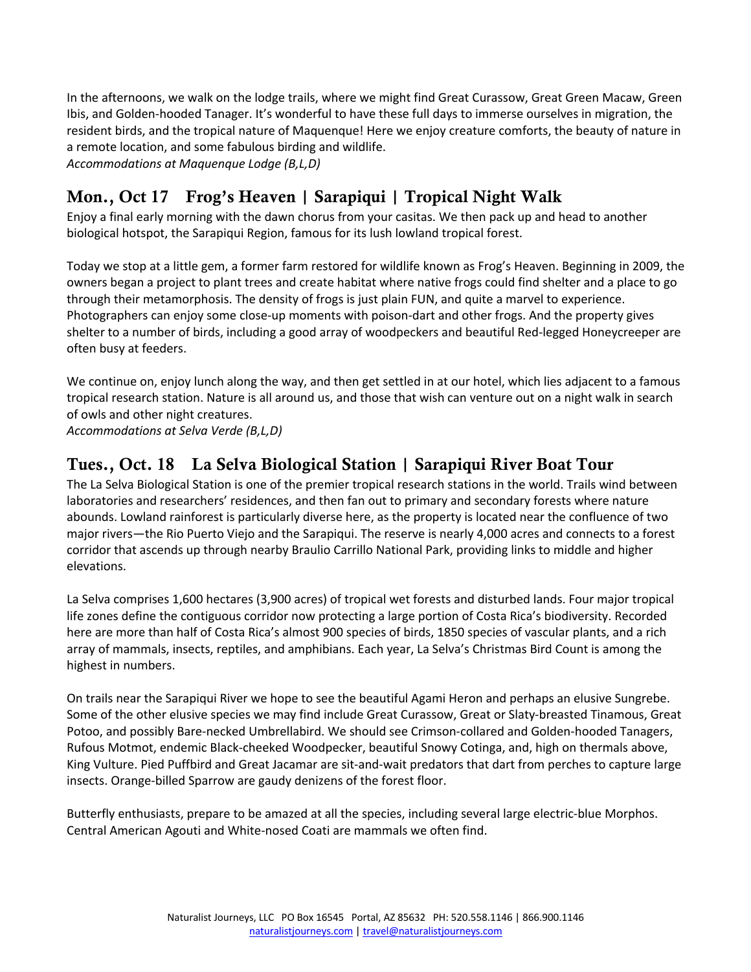In the afternoons, we walk on the lodge trails, where we might find Great Curassow, Great Green Macaw, Green Ibis, and Golden-hooded Tanager. It's wonderful to have these full days to immerse ourselves in migration, the resident birds, and the tropical nature of Maquenque! Here we enjoy creature comforts, the beauty of nature in a remote location, and some fabulous birding and wildlife. *Accommodations at Maquenque Lodge (B,L,D)* 

### Mon., Oct 17 Frog's Heaven | Sarapiqui | Tropical Night Walk

Enjoy a final early morning with the dawn chorus from your casitas. We then pack up and head to another biological hotspot, the Sarapiqui Region, famous for its lush lowland tropical forest.

Today we stop at a little gem, a former farm restored for wildlife known as Frog's Heaven. Beginning in 2009, the owners began a project to plant trees and create habitat where native frogs could find shelter and a place to go through their metamorphosis. The density of frogs is just plain FUN, and quite a marvel to experience. Photographers can enjoy some close-up moments with poison-dart and other frogs. And the property gives shelter to a number of birds, including a good array of woodpeckers and beautiful Red-legged Honeycreeper are often busy at feeders.

We continue on, enjoy lunch along the way, and then get settled in at our hotel, which lies adjacent to a famous tropical research station. Nature is all around us, and those that wish can venture out on a night walk in search of owls and other night creatures.

*Accommodations at Selva Verde (B,L,D)* 

#### Tues., Oct. 18 La Selva Biological Station | Sarapiqui River Boat Tour

The La Selva Biological Station is one of the premier tropical research stations in the world. Trails wind between laboratories and researchers' residences, and then fan out to primary and secondary forests where nature abounds. Lowland rainforest is particularly diverse here, as the property is located near the confluence of two major rivers―the Rio Puerto Viejo and the Sarapiqui. The reserve is nearly 4,000 acres and connects to a forest corridor that ascends up through nearby Braulio Carrillo National Park, providing links to middle and higher elevations.

La Selva comprises 1,600 hectares (3,900 acres) of tropical wet forests and disturbed lands. Four major tropical life zones define the contiguous corridor now protecting a large portion of Costa Rica's biodiversity. Recorded here are more than half of Costa Rica's almost 900 species of birds, 1850 species of vascular plants, and a rich array of mammals, insects, reptiles, and amphibians. Each year, La Selva's Christmas Bird Count is among the highest in numbers.

On trails near the Sarapiqui River we hope to see the beautiful Agami Heron and perhaps an elusive Sungrebe. Some of the other elusive species we may find include Great Curassow, Great or Slaty-breasted Tinamous, Great Potoo, and possibly Bare-necked Umbrellabird. We should see Crimson-collared and Golden-hooded Tanagers, Rufous Motmot, endemic Black-cheeked Woodpecker, beautiful Snowy Cotinga, and, high on thermals above, King Vulture. Pied Puffbird and Great Jacamar are sit-and-wait predators that dart from perches to capture large insects. Orange-billed Sparrow are gaudy denizens of the forest floor.

Butterfly enthusiasts, prepare to be amazed at all the species, including several large electric-blue Morphos. Central American Agouti and White-nosed Coati are mammals we often find.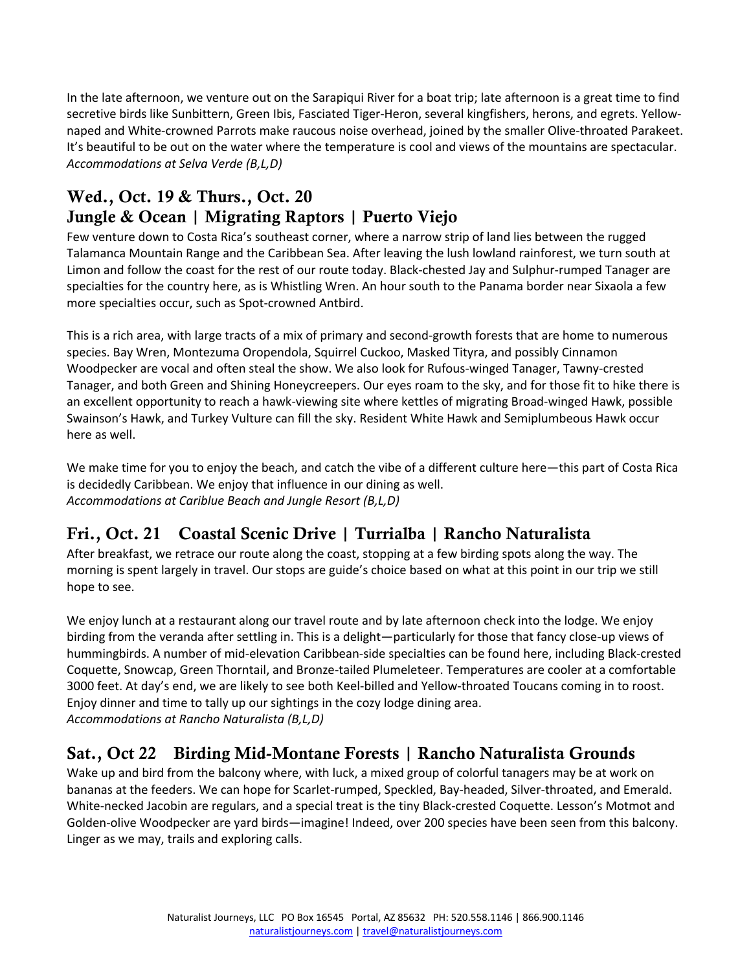In the late afternoon, we venture out on the Sarapiqui River for a boat trip; late afternoon is a great time to find secretive birds like Sunbittern, Green Ibis, Fasciated Tiger-Heron, several kingfishers, herons, and egrets. Yellownaped and White-crowned Parrots make raucous noise overhead, joined by the smaller Olive-throated Parakeet. It's beautiful to be out on the water where the temperature is cool and views of the mountains are spectacular. *Accommodations at Selva Verde (B,L,D)*

## Wed., Oct. 19 & Thurs., Oct. 20 Jungle & Ocean | Migrating Raptors | Puerto Viejo

Few venture down to Costa Rica's southeast corner, where a narrow strip of land lies between the rugged Talamanca Mountain Range and the Caribbean Sea. After leaving the lush lowland rainforest, we turn south at Limon and follow the coast for the rest of our route today. Black-chested Jay and Sulphur-rumped Tanager are specialties for the country here, as is Whistling Wren. An hour south to the Panama border near Sixaola a few more specialties occur, such as Spot-crowned Antbird.

This is a rich area, with large tracts of a mix of primary and second-growth forests that are home to numerous species. Bay Wren, Montezuma Oropendola, Squirrel Cuckoo, Masked Tityra, and possibly Cinnamon Woodpecker are vocal and often steal the show. We also look for Rufous-winged Tanager, Tawny-crested Tanager, and both Green and Shining Honeycreepers. Our eyes roam to the sky, and for those fit to hike there is an excellent opportunity to reach a hawk-viewing site where kettles of migrating Broad-winged Hawk, possible Swainson's Hawk, and Turkey Vulture can fill the sky. Resident White Hawk and Semiplumbeous Hawk occur here as well.

We make time for you to enjoy the beach, and catch the vibe of a different culture here—this part of Costa Rica is decidedly Caribbean. We enjoy that influence in our dining as well. *Accommodations at Cariblue Beach and Jungle Resort (B,L,D)*

# Fri., Oct. 21 Coastal Scenic Drive | Turrialba | Rancho Naturalista

After breakfast, we retrace our route along the coast, stopping at a few birding spots along the way. The morning is spent largely in travel. Our stops are guide's choice based on what at this point in our trip we still hope to see.

We enjoy lunch at a restaurant along our travel route and by late afternoon check into the lodge. We enjoy birding from the veranda after settling in. This is a delight―particularly for those that fancy close-up views of hummingbirds. A number of mid-elevation Caribbean-side specialties can be found here, including Black-crested Coquette, Snowcap, Green Thorntail, and Bronze-tailed Plumeleteer. Temperatures are cooler at a comfortable 3000 feet. At day's end, we are likely to see both Keel-billed and Yellow-throated Toucans coming in to roost. Enjoy dinner and time to tally up our sightings in the cozy lodge dining area. *Accommodations at Rancho Naturalista (B,L,D)* 

# Sat., Oct 22 Birding Mid-Montane Forests | Rancho Naturalista Grounds

Wake up and bird from the balcony where, with luck, a mixed group of colorful tanagers may be at work on bananas at the feeders. We can hope for Scarlet-rumped, Speckled, Bay-headed, Silver-throated, and Emerald. White-necked Jacobin are regulars, and a special treat is the tiny Black-crested Coquette. Lesson's Motmot and Golden-olive Woodpecker are yard birds—imagine! Indeed, over 200 species have been seen from this balcony. Linger as we may, trails and exploring calls.